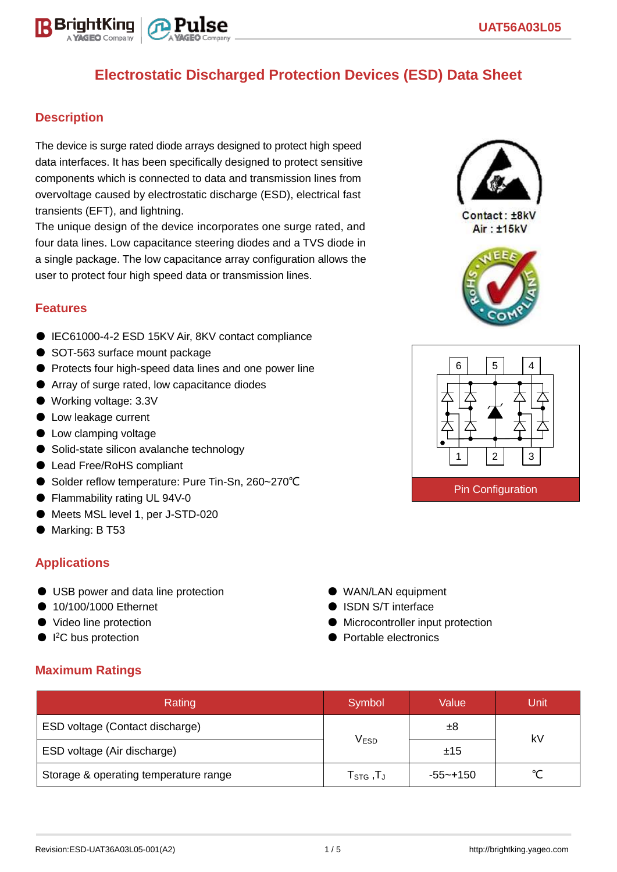

### **Description**

The device is surge rated diode arrays designed to protect high speed data interfaces. It has been specifically designed to protect sensitive components which is connected to data and transmission lines from overvoltage caused by electrostatic discharge (ESD), electrical fast transients (EFT), and lightning.

The unique design of the device incorporates one surge rated, and four data lines. Low capacitance steering diodes and a TVS diode in a single package. The low capacitance array configuration allows the user to protect four high speed data or transmission lines.

#### **Features**

- IEC61000-4-2 ESD 15KV Air, 8KV contact compliance
- SOT-563 surface mount package
- Protects four high-speed data lines and one power line
- Array of surge rated, low capacitance diodes
- Working voltage: 3.3V
- Low leakage current
- Low clamping voltage
- Solid-state silicon avalanche technology
- Lead Free/RoHS compliant
- Solder reflow temperature: Pure Tin-Sn, 260~270°C
- Flammability rating UL 94V-0
- Meets MSL level 1, per J-STD-020
- Marking: B T53

#### **Applications**

- USB power and data line protection
- 10/100/1000 Ethernet
- Video line protection
- I<sup>2</sup>C bus protection
- 

#### ● WAN/LAN equipment

- **B** ISDN S/T interface
- Microcontroller input protection
- Portable electronics

#### **Maximum Ratings**

| Rating                                | Symbol                          | Value    | Unit   |  |
|---------------------------------------|---------------------------------|----------|--------|--|
| ESD voltage (Contact discharge)       |                                 | ±8       |        |  |
| ESD voltage (Air discharge)           | <b>VESD</b>                     | ±15      | kV     |  |
| Storage & operating temperature range | $\mathsf{T}_{\texttt{STG}}$ ,TJ | -55~+150 | $\sim$ |  |



Contact: ±8kV Air: ±15kV



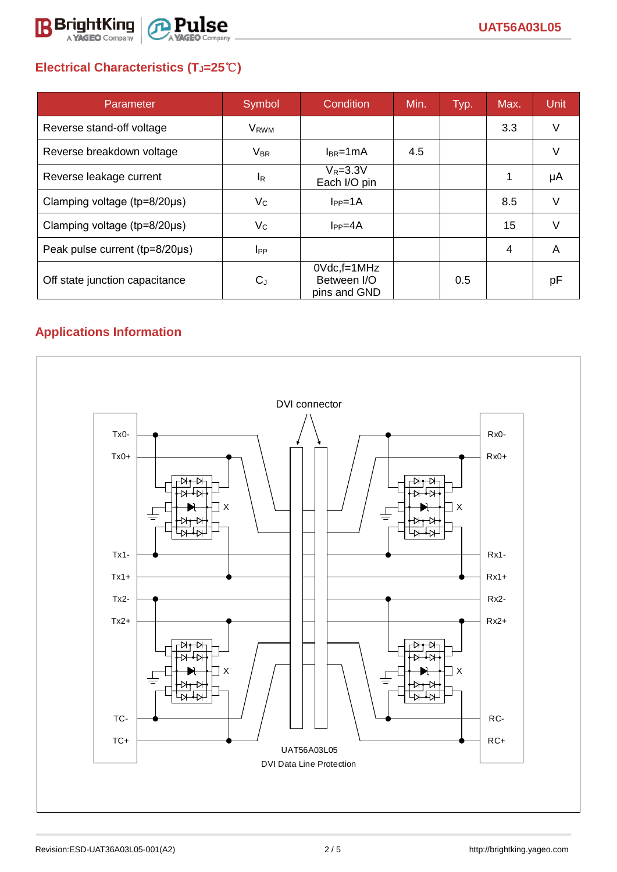

# **Electrical Characteristics (TJ=25**℃**)**

| Parameter                              | Symbol                  | Condition                                         | Min. | Typ. | Max. | <b>Unit</b> |
|----------------------------------------|-------------------------|---------------------------------------------------|------|------|------|-------------|
| Reverse stand-off voltage              | <b>V</b> <sub>RWM</sub> |                                                   |      |      | 3.3  | V           |
| Reverse breakdown voltage              | $V_{BR}$                | $I_{BR}$ =1mA                                     | 4.5  |      |      | V           |
| Reverse leakage current                | I <sub>R</sub>          | $V_R = 3.3V$<br>Each I/O pin                      |      |      |      | μA          |
| Clamping voltage ( $tp=8/20\mu s$ )    | $V_C$                   | $I_{PP}=1A$                                       |      |      | 8.5  | V           |
| Clamping voltage ( $tp = 8/20 \mu s$ ) | $V_{\rm C}$             | $I_{PP} = 4A$                                     |      |      | 15   | $\vee$      |
| Peak pulse current (tp=8/20µs)         | $_{\rm lpp}$            |                                                   |      |      | 4    | A           |
| Off state junction capacitance         | $C_{J}$                 | $0Vdc$ , f=1 $MHz$<br>Between I/O<br>pins and GND |      | 0.5  |      | рF          |

# **Applications Information**

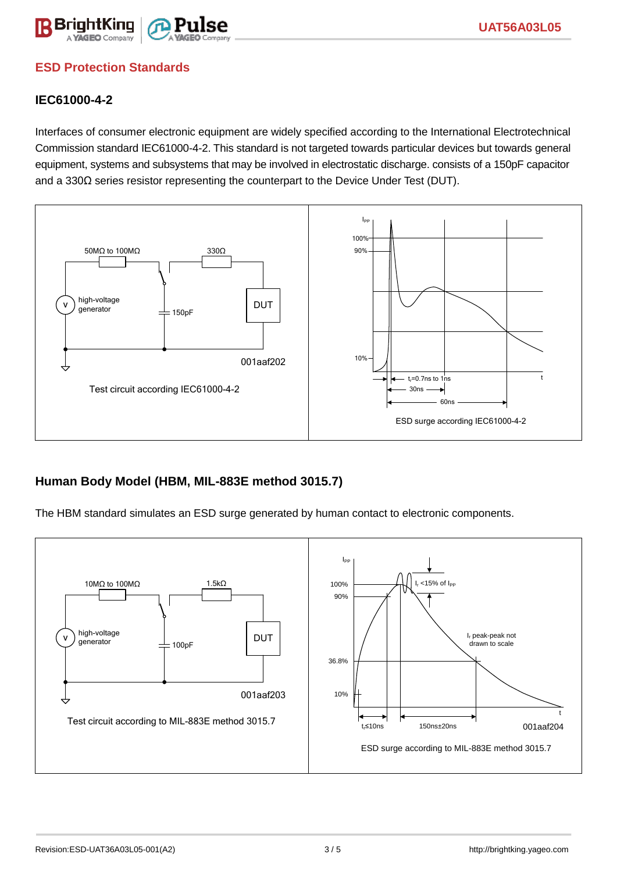

### **ESD Protection Standards**

### **IEC61000-4-2**

Interfaces of consumer electronic equipment are widely specified according to the International Electrotechnical Commission standard IEC61000-4-2. This standard is not targeted towards particular devices but towards general equipment, systems and subsystems that may be involved in electrostatic discharge. consists of a 150pF capacitor and a 330Ω series resistor representing the counterpart to the Device Under Test (DUT).



### **Human Body Model (HBM, MIL-883E method 3015.7)**

The HBM standard simulates an ESD surge generated by human contact to electronic components.

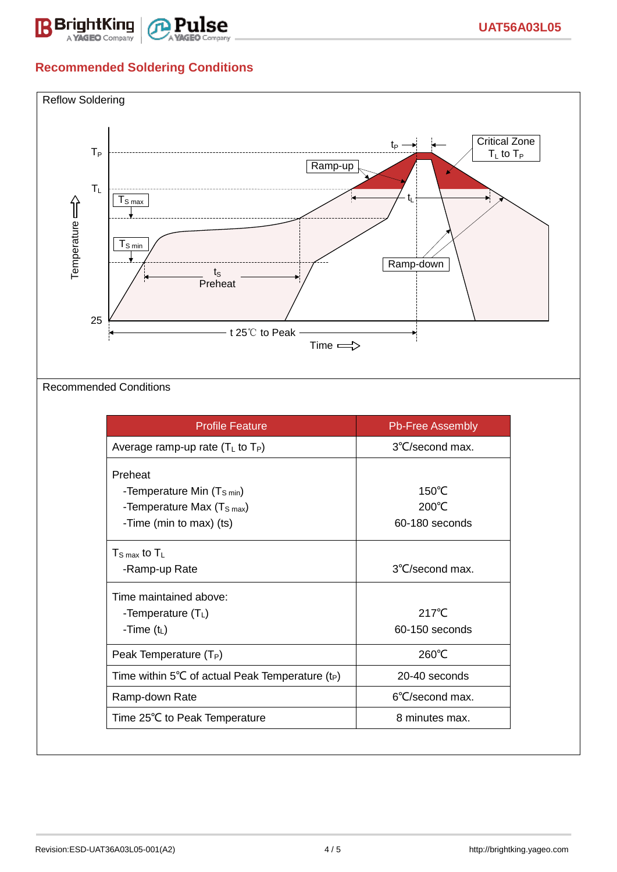

## **Recommended Soldering Conditions**